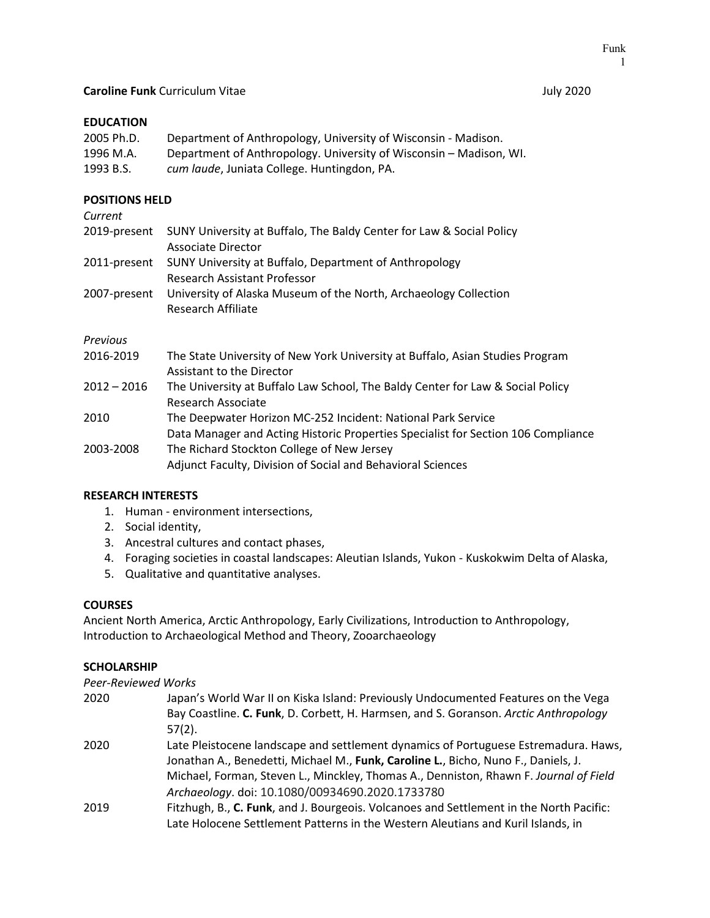## **EDUCATION**

| 2005 Ph.D. | Department of Anthropology, University of Wisconsin - Madison.     |
|------------|--------------------------------------------------------------------|
| 1996 M.A.  | Department of Anthropology. University of Wisconsin - Madison, WI. |
| 1993 B.S.  | cum laude, Juniata College. Huntingdon, PA.                        |

## **POSITIONS HELD**

| Current      |                                                                                                            |
|--------------|------------------------------------------------------------------------------------------------------------|
| 2019-present | SUNY University at Buffalo, The Baldy Center for Law & Social Policy<br><b>Associate Director</b>          |
|              | 2011-present SUNY University at Buffalo, Department of Anthropology<br><b>Research Assistant Professor</b> |
| 2007-present | University of Alaska Museum of the North, Archaeology Collection<br>Research Affiliate                     |
| Previous     |                                                                                                            |

| 2016-2019     | The State University of New York University at Buffalo, Asian Studies Program     |
|---------------|-----------------------------------------------------------------------------------|
|               | Assistant to the Director                                                         |
| $2012 - 2016$ | The University at Buffalo Law School, The Baldy Center for Law & Social Policy    |
|               | Research Associate                                                                |
| 2010          | The Deepwater Horizon MC-252 Incident: National Park Service                      |
|               | Data Manager and Acting Historic Properties Specialist for Section 106 Compliance |
| 2003-2008     | The Richard Stockton College of New Jersey                                        |
|               | Adjunct Faculty, Division of Social and Behavioral Sciences                       |

#### **RESEARCH INTERESTS**

- 1. Human environment intersections,
- 2. Social identity,
- 3. Ancestral cultures and contact phases,
- 4. Foraging societies in coastal landscapes: Aleutian Islands, Yukon Kuskokwim Delta of Alaska,
- 5. Qualitative and quantitative analyses.

#### **COURSES**

Ancient North America, Arctic Anthropology, Early Civilizations, Introduction to Anthropology, Introduction to Archaeological Method and Theory, Zooarchaeology

#### **SCHOLARSHIP**

*Peer-Reviewed Works*

| 2020 | Japan's World War II on Kiska Island: Previously Undocumented Features on the Vega<br>Bay Coastline. C. Funk, D. Corbett, H. Harmsen, and S. Goranson. Arctic Anthropology<br>$57(2)$ . |
|------|-----------------------------------------------------------------------------------------------------------------------------------------------------------------------------------------|
| 2020 | Late Pleistocene landscape and settlement dynamics of Portuguese Estremadura. Haws,<br>Jonathan A., Benedetti, Michael M., Funk, Caroline L., Bicho, Nuno F., Daniels, J.               |
|      | Michael, Forman, Steven L., Minckley, Thomas A., Denniston, Rhawn F. Journal of Field<br>Archaeology. doi: 10.1080/00934690.2020.1733780                                                |
| 2019 | Fitzhugh, B., C. Funk, and J. Bourgeois. Volcanoes and Settlement in the North Pacific:                                                                                                 |
|      | Late Holocene Settlement Patterns in the Western Aleutians and Kuril Islands, in                                                                                                        |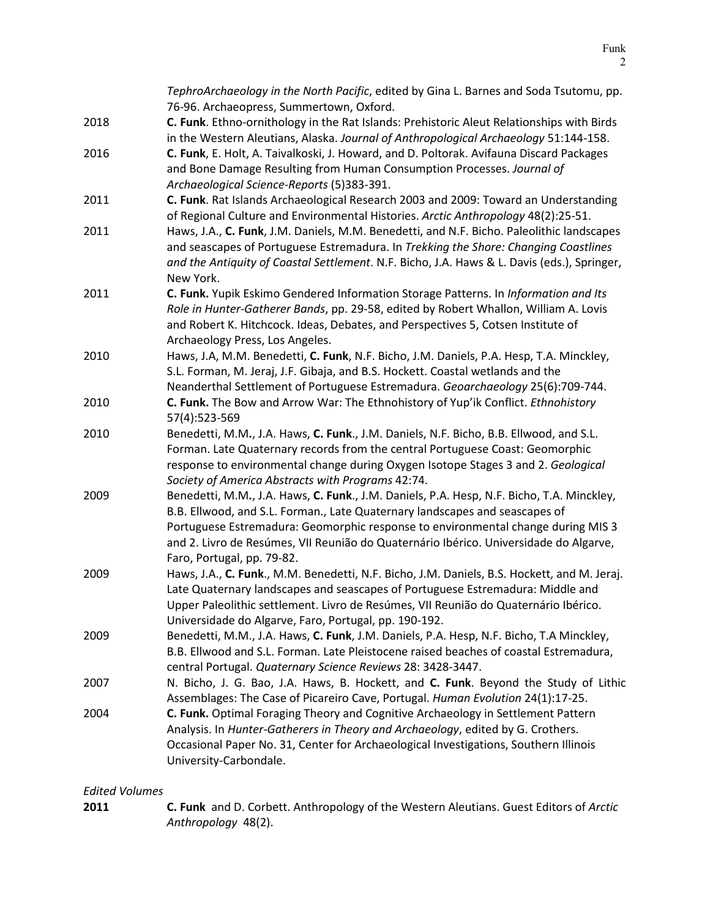|      | TephroArchaeology in the North Pacific, edited by Gina L. Barnes and Soda Tsutomu, pp.<br>76-96. Archaeopress, Summertown, Oxford.                                                                                                                                                                                                                                                  |
|------|-------------------------------------------------------------------------------------------------------------------------------------------------------------------------------------------------------------------------------------------------------------------------------------------------------------------------------------------------------------------------------------|
| 2018 | C. Funk. Ethno-ornithology in the Rat Islands: Prehistoric Aleut Relationships with Birds<br>in the Western Aleutians, Alaska. Journal of Anthropological Archaeology 51:144-158.                                                                                                                                                                                                   |
| 2016 | C. Funk, E. Holt, A. Taivalkoski, J. Howard, and D. Poltorak. Avifauna Discard Packages<br>and Bone Damage Resulting from Human Consumption Processes. Journal of<br>Archaeological Science-Reports (5)383-391.                                                                                                                                                                     |
| 2011 | C. Funk. Rat Islands Archaeological Research 2003 and 2009: Toward an Understanding<br>of Regional Culture and Environmental Histories. Arctic Anthropology 48(2):25-51.                                                                                                                                                                                                            |
| 2011 | Haws, J.A., C. Funk, J.M. Daniels, M.M. Benedetti, and N.F. Bicho. Paleolithic landscapes<br>and seascapes of Portuguese Estremadura. In Trekking the Shore: Changing Coastlines<br>and the Antiquity of Coastal Settlement. N.F. Bicho, J.A. Haws & L. Davis (eds.), Springer,<br>New York.                                                                                        |
| 2011 | C. Funk. Yupik Eskimo Gendered Information Storage Patterns. In Information and Its<br>Role in Hunter-Gatherer Bands, pp. 29-58, edited by Robert Whallon, William A. Lovis<br>and Robert K. Hitchcock. Ideas, Debates, and Perspectives 5, Cotsen Institute of<br>Archaeology Press, Los Angeles.                                                                                  |
| 2010 | Haws, J.A, M.M. Benedetti, C. Funk, N.F. Bicho, J.M. Daniels, P.A. Hesp, T.A. Minckley,<br>S.L. Forman, M. Jeraj, J.F. Gibaja, and B.S. Hockett. Coastal wetlands and the<br>Neanderthal Settlement of Portuguese Estremadura. Geoarchaeology 25(6):709-744.                                                                                                                        |
| 2010 | C. Funk. The Bow and Arrow War: The Ethnohistory of Yup'ik Conflict. Ethnohistory<br>57(4):523-569                                                                                                                                                                                                                                                                                  |
| 2010 | Benedetti, M.M., J.A. Haws, C. Funk., J.M. Daniels, N.F. Bicho, B.B. Ellwood, and S.L.<br>Forman. Late Quaternary records from the central Portuguese Coast: Geomorphic<br>response to environmental change during Oxygen Isotope Stages 3 and 2. Geological<br>Society of America Abstracts with Programs 42:74.                                                                   |
| 2009 | Benedetti, M.M., J.A. Haws, C. Funk., J.M. Daniels, P.A. Hesp, N.F. Bicho, T.A. Minckley,<br>B.B. Ellwood, and S.L. Forman., Late Quaternary landscapes and seascapes of<br>Portuguese Estremadura: Geomorphic response to environmental change during MIS 3<br>and 2. Livro de Resúmes, VII Reunião do Quaternário Ibérico. Universidade do Algarve,<br>Faro, Portugal, pp. 79-82. |
| 2009 | Haws, J.A., C. Funk., M.M. Benedetti, N.F. Bicho, J.M. Daniels, B.S. Hockett, and M. Jeraj.<br>Late Quaternary landscapes and seascapes of Portuguese Estremadura: Middle and<br>Upper Paleolithic settlement. Livro de Resúmes, VII Reunião do Quaternário Ibérico.<br>Universidade do Algarve, Faro, Portugal, pp. 190-192.                                                       |
| 2009 | Benedetti, M.M., J.A. Haws, C. Funk, J.M. Daniels, P.A. Hesp, N.F. Bicho, T.A Minckley,<br>B.B. Ellwood and S.L. Forman. Late Pleistocene raised beaches of coastal Estremadura,<br>central Portugal. Quaternary Science Reviews 28: 3428-3447.                                                                                                                                     |
| 2007 | N. Bicho, J. G. Bao, J.A. Haws, B. Hockett, and C. Funk. Beyond the Study of Lithic<br>Assemblages: The Case of Picareiro Cave, Portugal. Human Evolution 24(1):17-25.                                                                                                                                                                                                              |
| 2004 | C. Funk. Optimal Foraging Theory and Cognitive Archaeology in Settlement Pattern<br>Analysis. In Hunter-Gatherers in Theory and Archaeology, edited by G. Crothers.<br>Occasional Paper No. 31, Center for Archaeological Investigations, Southern Illinois<br>University-Carbondale.                                                                                               |

# *Edited Volumes*

**2011 C. Funk** and D. Corbett. Anthropology of the Western Aleutians. Guest Editors of *Arctic Anthropology* 48(2).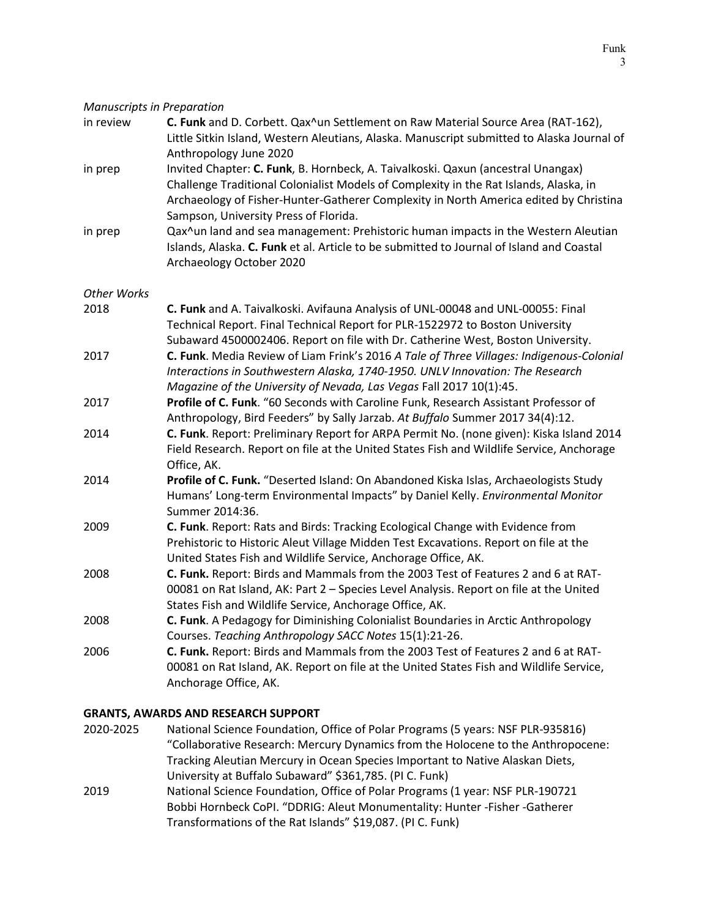| <b>Manuscripts in Preparation</b> |                                                                                                                                                                                                                                                                                                             |
|-----------------------------------|-------------------------------------------------------------------------------------------------------------------------------------------------------------------------------------------------------------------------------------------------------------------------------------------------------------|
| in review                         | C. Funk and D. Corbett. Qax^un Settlement on Raw Material Source Area (RAT-162),<br>Little Sitkin Island, Western Aleutians, Alaska. Manuscript submitted to Alaska Journal of<br>Anthropology June 2020                                                                                                    |
| in prep                           | Invited Chapter: C. Funk, B. Hornbeck, A. Taivalkoski. Qaxun (ancestral Unangax)<br>Challenge Traditional Colonialist Models of Complexity in the Rat Islands, Alaska, in<br>Archaeology of Fisher-Hunter-Gatherer Complexity in North America edited by Christina<br>Sampson, University Press of Florida. |
| in prep                           | Qax^un land and sea management: Prehistoric human impacts in the Western Aleutian<br>Islands, Alaska. C. Funk et al. Article to be submitted to Journal of Island and Coastal<br>Archaeology October 2020                                                                                                   |
| <b>Other Works</b>                |                                                                                                                                                                                                                                                                                                             |
| 2018                              | C. Funk and A. Taivalkoski. Avifauna Analysis of UNL-00048 and UNL-00055: Final<br>Technical Report. Final Technical Report for PLR-1522972 to Boston University<br>Subaward 4500002406. Report on file with Dr. Catherine West, Boston University.                                                         |
| 2017                              | C. Funk. Media Review of Liam Frink's 2016 A Tale of Three Villages: Indigenous-Colonial<br>Interactions in Southwestern Alaska, 1740-1950. UNLV Innovation: The Research<br>Magazine of the University of Nevada, Las Vegas Fall 2017 10(1):45.                                                            |
| 2017                              | Profile of C. Funk. "60 Seconds with Caroline Funk, Research Assistant Professor of<br>Anthropology, Bird Feeders" by Sally Jarzab. At Buffalo Summer 2017 34(4):12.                                                                                                                                        |
| 2014                              | C. Funk. Report: Preliminary Report for ARPA Permit No. (none given): Kiska Island 2014<br>Field Research. Report on file at the United States Fish and Wildlife Service, Anchorage<br>Office, AK.                                                                                                          |
| 2014                              | Profile of C. Funk. "Deserted Island: On Abandoned Kiska Islas, Archaeologists Study<br>Humans' Long-term Environmental Impacts" by Daniel Kelly. Environmental Monitor<br>Summer 2014:36.                                                                                                                  |
| 2009                              | C. Funk. Report: Rats and Birds: Tracking Ecological Change with Evidence from<br>Prehistoric to Historic Aleut Village Midden Test Excavations. Report on file at the<br>United States Fish and Wildlife Service, Anchorage Office, AK.                                                                    |
| 2008                              | C. Funk. Report: Birds and Mammals from the 2003 Test of Features 2 and 6 at RAT-<br>00081 on Rat Island, AK: Part 2 - Species Level Analysis. Report on file at the United<br>States Fish and Wildlife Service, Anchorage Office, AK.                                                                      |
| 2008                              | C. Funk. A Pedagogy for Diminishing Colonialist Boundaries in Arctic Anthropology<br>Courses. Teaching Anthropology SACC Notes 15(1):21-26.                                                                                                                                                                 |
| 2006                              | C. Funk. Report: Birds and Mammals from the 2003 Test of Features 2 and 6 at RAT-<br>00081 on Rat Island, AK. Report on file at the United States Fish and Wildlife Service,<br>Anchorage Office, AK.                                                                                                       |

## **GRANTS, AWARDS AND RESEARCH SUPPORT**

- 2020-2025 National Science Foundation, Office of Polar Programs (5 years: NSF PLR-935816) "Collaborative Research: Mercury Dynamics from the Holocene to the Anthropocene: Tracking Aleutian Mercury in Ocean Species Important to Native Alaskan Diets, University at Buffalo Subaward" \$361,785. (PI C. Funk)
- 2019 National Science Foundation, Office of Polar Programs (1 year: NSF PLR-190721 Bobbi Hornbeck CoPI. "DDRIG: Aleut Monumentality: Hunter -Fisher -Gatherer Transformations of the Rat Islands" \$19,087. (PI C. Funk)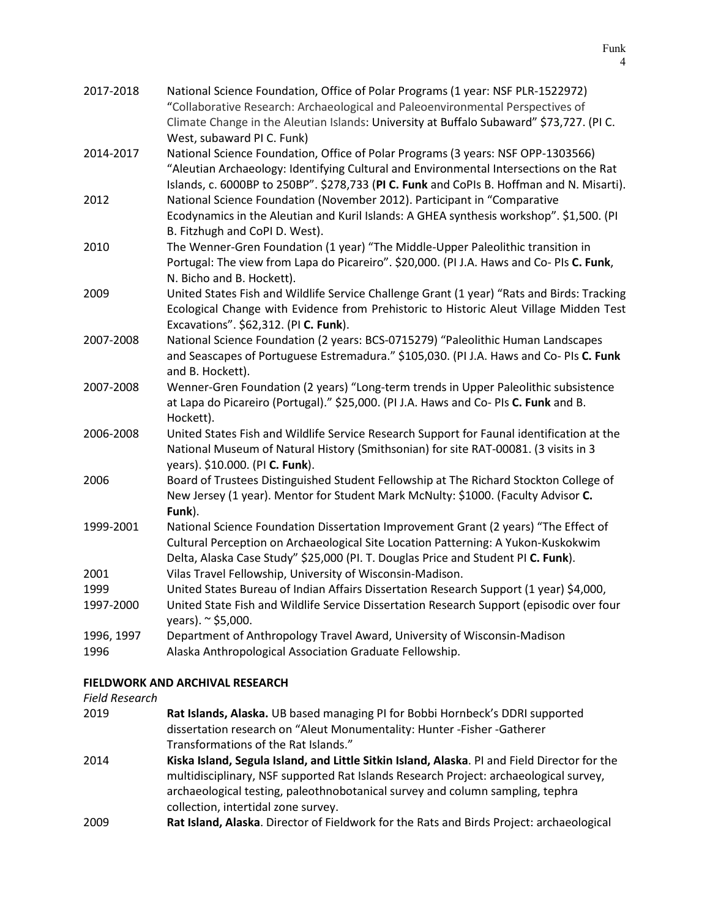| 2017-2018  | National Science Foundation, Office of Polar Programs (1 year: NSF PLR-1522972)<br>"Collaborative Research: Archaeological and Paleoenvironmental Perspectives of<br>Climate Change in the Aleutian Islands: University at Buffalo Subaward" \$73,727. (PI C.           |
|------------|-------------------------------------------------------------------------------------------------------------------------------------------------------------------------------------------------------------------------------------------------------------------------|
|            | West, subaward PI C. Funk)                                                                                                                                                                                                                                              |
| 2014-2017  | National Science Foundation, Office of Polar Programs (3 years: NSF OPP-1303566)<br>"Aleutian Archaeology: Identifying Cultural and Environmental Intersections on the Rat<br>Islands, c. 6000BP to 250BP". \$278,733 (PI C. Funk and CoPIs B. Hoffman and N. Misarti). |
| 2012       | National Science Foundation (November 2012). Participant in "Comparative<br>Ecodynamics in the Aleutian and Kuril Islands: A GHEA synthesis workshop". \$1,500. (PI<br>B. Fitzhugh and CoPI D. West).                                                                   |
| 2010       | The Wenner-Gren Foundation (1 year) "The Middle-Upper Paleolithic transition in<br>Portugal: The view from Lapa do Picareiro". \$20,000. (PI J.A. Haws and Co- PIs C. Funk,<br>N. Bicho and B. Hockett).                                                                |
| 2009       | United States Fish and Wildlife Service Challenge Grant (1 year) "Rats and Birds: Tracking<br>Ecological Change with Evidence from Prehistoric to Historic Aleut Village Midden Test<br>Excavations". \$62,312. (PI C. Funk).                                           |
| 2007-2008  | National Science Foundation (2 years: BCS-0715279) "Paleolithic Human Landscapes<br>and Seascapes of Portuguese Estremadura." \$105,030. (PI J.A. Haws and Co- PIs C. Funk<br>and B. Hockett).                                                                          |
| 2007-2008  | Wenner-Gren Foundation (2 years) "Long-term trends in Upper Paleolithic subsistence<br>at Lapa do Picareiro (Portugal)." \$25,000. (PI J.A. Haws and Co- PIs C. Funk and B.<br>Hockett).                                                                                |
| 2006-2008  | United States Fish and Wildlife Service Research Support for Faunal identification at the<br>National Museum of Natural History (Smithsonian) for site RAT-00081. (3 visits in 3<br>years). \$10.000. (PI C. Funk).                                                     |
| 2006       | Board of Trustees Distinguished Student Fellowship at The Richard Stockton College of<br>New Jersey (1 year). Mentor for Student Mark McNulty: \$1000. (Faculty Advisor C.<br>Funk).                                                                                    |
| 1999-2001  | National Science Foundation Dissertation Improvement Grant (2 years) "The Effect of<br>Cultural Perception on Archaeological Site Location Patterning: A Yukon-Kuskokwim<br>Delta, Alaska Case Study" \$25,000 (Pl. T. Douglas Price and Student PI C. Funk).           |
| 2001       | Vilas Travel Fellowship, University of Wisconsin-Madison.                                                                                                                                                                                                               |
| 1999       | United States Bureau of Indian Affairs Dissertation Research Support (1 year) \$4,000,                                                                                                                                                                                  |
| 1997-2000  | United State Fish and Wildlife Service Dissertation Research Support (episodic over four<br>years). ~ \$5,000.                                                                                                                                                          |
| 1996, 1997 | Department of Anthropology Travel Award, University of Wisconsin-Madison                                                                                                                                                                                                |
| 1996       | Alaska Anthropological Association Graduate Fellowship.                                                                                                                                                                                                                 |

## **FIELDWORK AND ARCHIVAL RESEARCH**

#### *Field Research*

- 2019 **Rat Islands, Alaska.** UB based managing PI for Bobbi Hornbeck's DDRI supported dissertation research on "Aleut Monumentality: Hunter -Fisher -Gatherer Transformations of the Rat Islands." 2014 **Kiska Island, Segula Island, and Little Sitkin Island, Alaska**. PI and Field Director for the multidisciplinary, NSF supported Rat Islands Research Project: archaeological survey, archaeological testing, paleothnobotanical survey and column sampling, tephra collection, intertidal zone survey.
- 2009 **Rat Island, Alaska**. Director of Fieldwork for the Rats and Birds Project: archaeological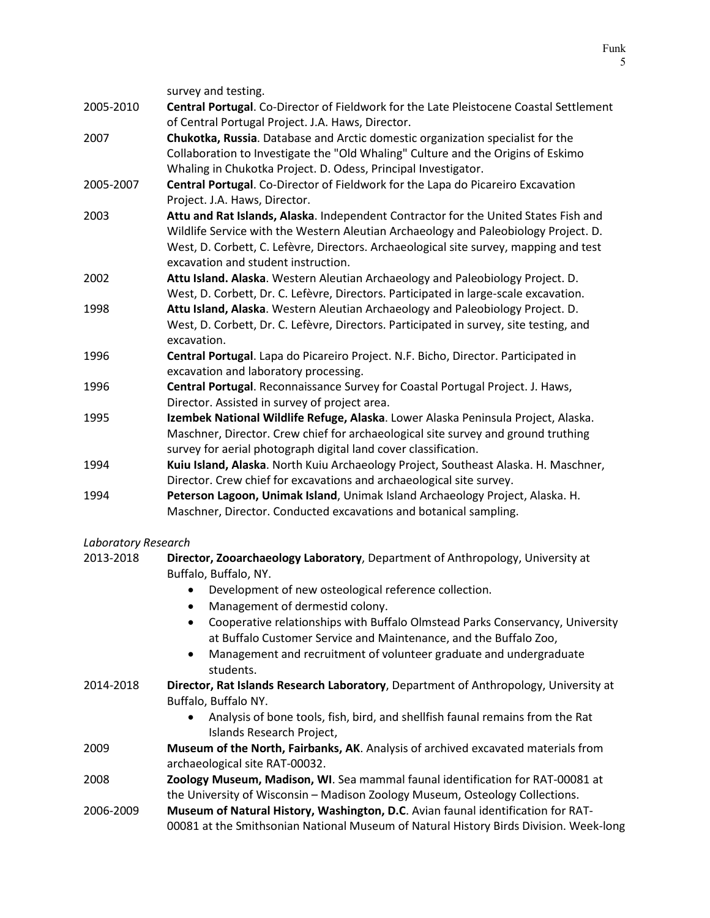|           | survey and testing.                                                                    |
|-----------|----------------------------------------------------------------------------------------|
| 2005-2010 | Central Portugal. Co-Director of Fieldwork for the Late Pleistocene Coastal Settlement |
|           | of Central Portugal Project. J.A. Haws, Director.                                      |
| 2007      | Chukotka, Russia. Database and Arctic domestic organization specialist for the         |
|           | Collaboration to Investigate the "Old Whaling" Culture and the Origins of Eskimo       |
|           | Whaling in Chukotka Project. D. Odess, Principal Investigator.                         |
| 2005-2007 | Central Portugal. Co-Director of Fieldwork for the Lapa do Picareiro Excavation        |
|           | Project. J.A. Haws, Director.                                                          |
| 2003      | Attu and Rat Islands, Alaska. Independent Contractor for the United States Fish and    |
|           | Wildlife Service with the Western Aleutian Archaeology and Paleobiology Project. D.    |
|           | West, D. Corbett, C. Lefèvre, Directors. Archaeological site survey, mapping and test  |
|           | excavation and student instruction.                                                    |
| 2002      | Attu Island. Alaska. Western Aleutian Archaeology and Paleobiology Project. D.         |
|           | West, D. Corbett, Dr. C. Lefèvre, Directors. Participated in large-scale excavation.   |
| 1998      | Attu Island, Alaska. Western Aleutian Archaeology and Paleobiology Project. D.         |
|           | West, D. Corbett, Dr. C. Lefèvre, Directors. Participated in survey, site testing, and |
|           | excavation.                                                                            |
| 1996      | Central Portugal. Lapa do Picareiro Project. N.F. Bicho, Director. Participated in     |
|           | excavation and laboratory processing.                                                  |
| 1996      | Central Portugal. Reconnaissance Survey for Coastal Portugal Project. J. Haws,         |
|           | Director. Assisted in survey of project area.                                          |
| 1995      | Izembek National Wildlife Refuge, Alaska. Lower Alaska Peninsula Project, Alaska.      |
|           | Maschner, Director. Crew chief for archaeological site survey and ground truthing      |
|           | survey for aerial photograph digital land cover classification.                        |
| 1994      | Kuiu Island, Alaska. North Kuiu Archaeology Project, Southeast Alaska. H. Maschner,    |
|           | Director. Crew chief for excavations and archaeological site survey.                   |
| 1994      | Peterson Lagoon, Unimak Island, Unimak Island Archaeology Project, Alaska. H.          |
|           | Maschner, Director. Conducted excavations and botanical sampling.                      |

*Laboratory Research*

| Laboratory Researcn |                                                                                            |
|---------------------|--------------------------------------------------------------------------------------------|
| 2013-2018           | Director, Zooarchaeology Laboratory, Department of Anthropology, University at             |
|                     | Buffalo, Buffalo, NY.                                                                      |
|                     | Development of new osteological reference collection.<br>$\bullet$                         |
|                     | Management of dermestid colony.<br>$\bullet$                                               |
|                     | Cooperative relationships with Buffalo Olmstead Parks Conservancy, University<br>$\bullet$ |
|                     | at Buffalo Customer Service and Maintenance, and the Buffalo Zoo,                          |
|                     | Management and recruitment of volunteer graduate and undergraduate<br>$\bullet$            |
|                     | students.                                                                                  |
| 2014-2018           | Director, Rat Islands Research Laboratory, Department of Anthropology, University at       |
|                     | Buffalo, Buffalo NY.                                                                       |
|                     | Analysis of bone tools, fish, bird, and shellfish faunal remains from the Rat              |
|                     | Islands Research Project,                                                                  |
| 2009                | Museum of the North, Fairbanks, AK. Analysis of archived excavated materials from          |
|                     | archaeological site RAT-00032.                                                             |
| 2008                | Zoology Museum, Madison, WI. Sea mammal faunal identification for RAT-00081 at             |
|                     | the University of Wisconsin - Madison Zoology Museum, Osteology Collections.               |
| 2006-2009           | Museum of Natural History, Washington, D.C. Avian faunal identification for RAT-           |
|                     | 00081 at the Smithsonian National Museum of Natural History Birds Division. Week-long      |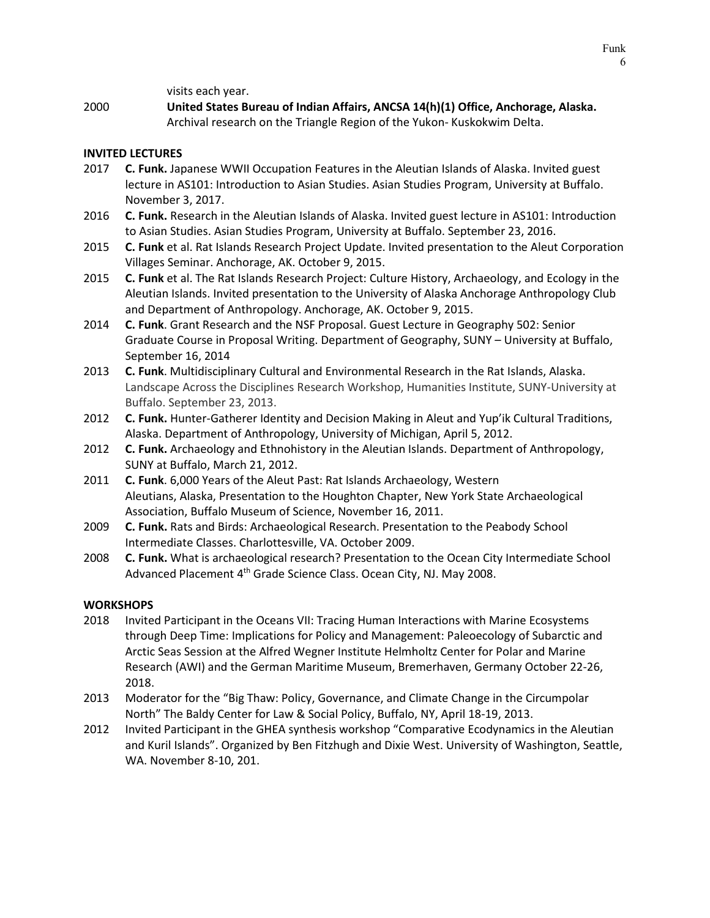visits each year.

2000 **United States Bureau of Indian Affairs, ANCSA 14(h)(1) Office, Anchorage, Alaska.** Archival research on the Triangle Region of the Yukon- Kuskokwim Delta.

### **INVITED LECTURES**

- 2017 **C. Funk.** Japanese WWII Occupation Features in the Aleutian Islands of Alaska. Invited guest lecture in AS101: Introduction to Asian Studies. Asian Studies Program, University at Buffalo. November 3, 2017.
- 2016 **C. Funk.** Research in the Aleutian Islands of Alaska. Invited guest lecture in AS101: Introduction to Asian Studies. Asian Studies Program, University at Buffalo. September 23, 2016.
- 2015 **C. Funk** et al. Rat Islands Research Project Update. Invited presentation to the Aleut Corporation Villages Seminar. Anchorage, AK. October 9, 2015.
- 2015 **C. Funk** et al. The Rat Islands Research Project: Culture History, Archaeology, and Ecology in the Aleutian Islands. Invited presentation to the University of Alaska Anchorage Anthropology Club and Department of Anthropology. Anchorage, AK. October 9, 2015.
- 2014 **C. Funk**. Grant Research and the NSF Proposal. Guest Lecture in Geography 502: Senior Graduate Course in Proposal Writing. Department of Geography, SUNY – University at Buffalo, September 16, 2014
- 2013 **C. Funk**. Multidisciplinary Cultural and Environmental Research in the Rat Islands, Alaska. Landscape Across the Disciplines Research Workshop, Humanities Institute, SUNY-University at Buffalo. September 23, 2013.
- 2012 **C. Funk.** Hunter-Gatherer Identity and Decision Making in Aleut and Yup'ik Cultural Traditions, Alaska. Department of Anthropology, University of Michigan, April 5, 2012.
- 2012 **C. Funk.** Archaeology and Ethnohistory in the Aleutian Islands. Department of Anthropology, SUNY at Buffalo, March 21, 2012.
- 2011 **C. Funk**. 6,000 Years of the Aleut Past: Rat Islands Archaeology, Western Aleutians, Alaska, Presentation to the Houghton Chapter, New York State Archaeological Association, Buffalo Museum of Science, November 16, 2011.
- 2009 **C. Funk.** Rats and Birds: Archaeological Research. Presentation to the Peabody School Intermediate Classes. Charlottesville, VA. October 2009.
- 2008 **C. Funk.** What is archaeological research? Presentation to the Ocean City Intermediate School Advanced Placement 4<sup>th</sup> Grade Science Class. Ocean City, NJ. May 2008.

#### **WORKSHOPS**

- 2018 Invited Participant in the Oceans VII: Tracing Human Interactions with Marine Ecosystems through Deep Time: Implications for Policy and Management: Paleoecology of Subarctic and Arctic Seas Session at the Alfred Wegner Institute Helmholtz Center for Polar and Marine Research (AWI) and the German Maritime Museum, Bremerhaven, Germany October 22-26, 2018.
- 2013 Moderator for the "Big Thaw: Policy, Governance, and Climate Change in the Circumpolar North" The Baldy Center for Law & Social Policy, Buffalo, NY, April 18-19, 2013.
- 2012 Invited Participant in the GHEA synthesis workshop "Comparative Ecodynamics in the Aleutian and Kuril Islands". Organized by Ben Fitzhugh and Dixie West. University of Washington, Seattle, WA. November 8-10, 201.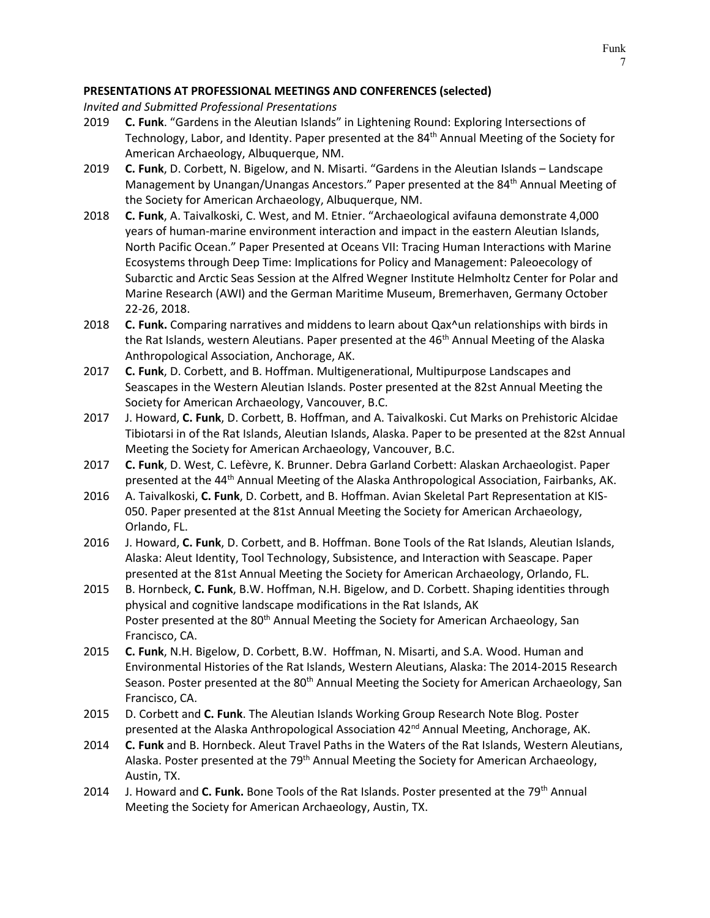## **PRESENTATIONS AT PROFESSIONAL MEETINGS AND CONFERENCES (selected)**

*Invited and Submitted Professional Presentations*

- 2019 **C. Funk**. "Gardens in the Aleutian Islands" in Lightening Round: Exploring Intersections of Technology, Labor, and Identity. Paper presented at the 84<sup>th</sup> Annual Meeting of the Society for American Archaeology, Albuquerque, NM.
- 2019 **C. Funk**, D. Corbett, N. Bigelow, and N. Misarti. "Gardens in the Aleutian Islands Landscape Management by Unangan/Unangas Ancestors." Paper presented at the 84<sup>th</sup> Annual Meeting of the Society for American Archaeology, Albuquerque, NM.
- 2018 **C. Funk**, A. Taivalkoski, C. West, and M. Etnier. "Archaeological avifauna demonstrate 4,000 years of human-marine environment interaction and impact in the eastern Aleutian Islands, North Pacific Ocean." Paper Presented at Oceans VII: Tracing Human Interactions with Marine Ecosystems through Deep Time: Implications for Policy and Management: Paleoecology of Subarctic and Arctic Seas Session at the Alfred Wegner Institute Helmholtz Center for Polar and Marine Research (AWI) and the German Maritime Museum, Bremerhaven, Germany October 22-26, 2018.
- 2018 **C. Funk.** Comparing narratives and middens to learn about Qax^un relationships with birds in the Rat Islands, western Aleutians. Paper presented at the 46<sup>th</sup> Annual Meeting of the Alaska Anthropological Association, Anchorage, AK.
- 2017 **C. Funk**, D. Corbett, and B. Hoffman. Multigenerational, Multipurpose Landscapes and Seascapes in the Western Aleutian Islands. Poster presented at the 82st Annual Meeting the Society for American Archaeology, Vancouver, B.C.
- 2017 J. Howard, **C. Funk**, D. Corbett, B. Hoffman, and A. Taivalkoski. Cut Marks on Prehistoric Alcidae Tibiotarsi in of the Rat Islands, Aleutian Islands, Alaska. Paper to be presented at the 82st Annual Meeting the Society for American Archaeology, Vancouver, B.C.
- 2017 **C. Funk**, D. West, C. Lefèvre, K. Brunner. Debra Garland Corbett: Alaskan Archaeologist. Paper presented at the 44th Annual Meeting of the Alaska Anthropological Association, Fairbanks, AK.
- 2016 A. Taivalkoski, **C. Funk**, D. Corbett, and B. Hoffman. Avian Skeletal Part Representation at KIS-050. Paper presented at the 81st Annual Meeting the Society for American Archaeology, Orlando, FL.
- 2016 J. Howard, **C. Funk**, D. Corbett, and B. Hoffman. Bone Tools of the Rat Islands, Aleutian Islands, Alaska: Aleut Identity, Tool Technology, Subsistence, and Interaction with Seascape. Paper presented at the 81st Annual Meeting the Society for American Archaeology, Orlando, FL.
- 2015 B. Hornbeck, **C. Funk**, B.W. Hoffman, N.H. Bigelow, and D. Corbett. Shaping identities through physical and cognitive landscape modifications in the Rat Islands, AK Poster presented at the 80<sup>th</sup> Annual Meeting the Society for American Archaeology, San Francisco, CA.
- 2015 **C. Funk**, N.H. Bigelow, D. Corbett, B.W. Hoffman, N. Misarti, and S.A. Wood. Human and Environmental Histories of the Rat Islands, Western Aleutians, Alaska: The 2014-2015 Research Season. Poster presented at the 80<sup>th</sup> Annual Meeting the Society for American Archaeology, San Francisco, CA.
- 2015 D. Corbett and **C. Funk**. The Aleutian Islands Working Group Research Note Blog. Poster presented at the Alaska Anthropological Association  $42<sup>nd</sup>$  Annual Meeting, Anchorage, AK.
- 2014 **C. Funk** and B. Hornbeck. Aleut Travel Paths in the Waters of the Rat Islands, Western Aleutians, Alaska. Poster presented at the 79<sup>th</sup> Annual Meeting the Society for American Archaeology, Austin, TX.
- 2014 J. Howard and C. Funk. Bone Tools of the Rat Islands. Poster presented at the 79<sup>th</sup> Annual Meeting the Society for American Archaeology, Austin, TX.

Funk 7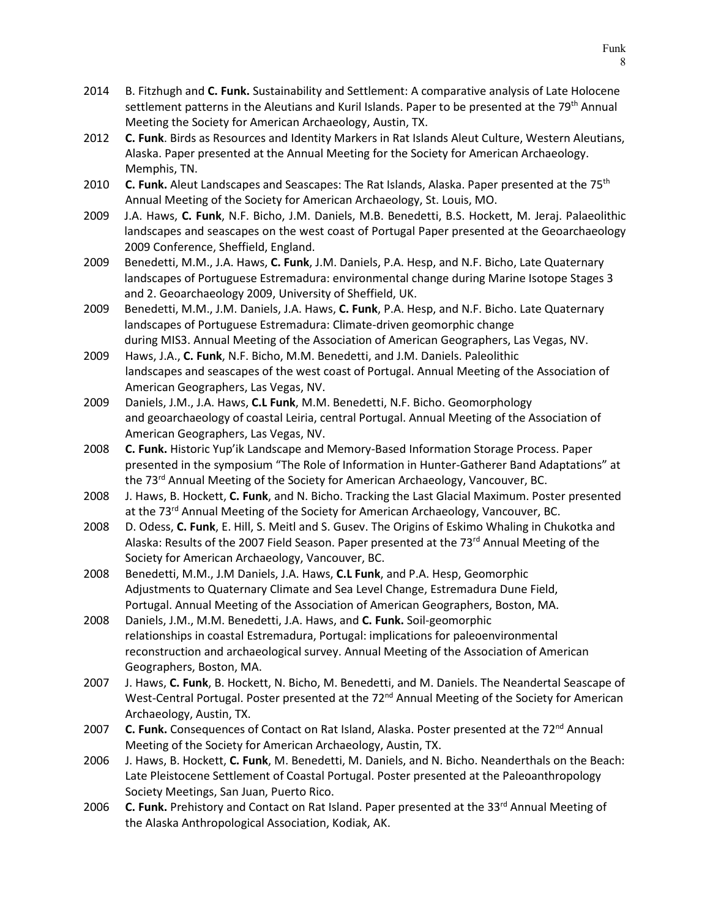- 2014 B. Fitzhugh and **C. Funk.** Sustainability and Settlement: A comparative analysis of Late Holocene settlement patterns in the Aleutians and Kuril Islands. Paper to be presented at the 79<sup>th</sup> Annual Meeting the Society for American Archaeology, Austin, TX.
- 2012 **C. Funk**. Birds as Resources and Identity Markers in Rat Islands Aleut Culture, Western Aleutians, Alaska. Paper presented at the Annual Meeting for the Society for American Archaeology. Memphis, TN.
- 2010 **C. Funk.** Aleut Landscapes and Seascapes: The Rat Islands, Alaska. Paper presented at the 75<sup>th</sup> Annual Meeting of the Society for American Archaeology, St. Louis, MO.
- 2009 J.A. Haws, **C. Funk**, N.F. Bicho, J.M. Daniels, M.B. Benedetti, B.S. Hockett, M. Jeraj. Palaeolithic landscapes and seascapes on the west coast of Portugal Paper presented at the Geoarchaeology 2009 Conference, Sheffield, England.
- 2009 Benedetti, M.M., J.A. Haws, **C. Funk**, J.M. Daniels, P.A. Hesp, and N.F. Bicho, Late Quaternary landscapes of Portuguese Estremadura: environmental change during Marine Isotope Stages 3 and 2. Geoarchaeology 2009, University of Sheffield, UK.
- 2009 Benedetti, M.M., J.M. Daniels, J.A. Haws, **C. Funk**, P.A. Hesp, and N.F. Bicho. Late Quaternary landscapes of Portuguese Estremadura: Climate-driven geomorphic change during MIS3. Annual Meeting of the Association of American Geographers, Las Vegas, NV.
- 2009 Haws, J.A., **C. Funk**, N.F. Bicho, M.M. Benedetti, and J.M. Daniels. Paleolithic landscapes and seascapes of the west coast of Portugal. Annual Meeting of the Association of American Geographers, Las Vegas, NV.
- 2009 Daniels, J.M., J.A. Haws, **C.L Funk**, M.M. Benedetti, N.F. Bicho. Geomorphology and geoarchaeology of coastal Leiria, central Portugal. Annual Meeting of the Association of American Geographers, Las Vegas, NV.
- 2008 **C. Funk.** Historic Yup'ik Landscape and Memory-Based Information Storage Process. Paper presented in the symposium "The Role of Information in Hunter-Gatherer Band Adaptations" at the 73<sup>rd</sup> Annual Meeting of the Society for American Archaeology, Vancouver, BC.
- 2008 J. Haws, B. Hockett, **C. Funk**, and N. Bicho. Tracking the Last Glacial Maximum. Poster presented at the 73<sup>rd</sup> Annual Meeting of the Society for American Archaeology, Vancouver, BC.
- 2008 D. Odess, **C. Funk**, E. Hill, S. Meitl and S. Gusev. The Origins of Eskimo Whaling in Chukotka and Alaska: Results of the 2007 Field Season. Paper presented at the 73<sup>rd</sup> Annual Meeting of the Society for American Archaeology, Vancouver, BC.
- 2008 Benedetti, M.M., J.M Daniels, J.A. Haws, **C.L Funk**, and P.A. Hesp, Geomorphic Adjustments to Quaternary Climate and Sea Level Change, Estremadura Dune Field, Portugal. Annual Meeting of the Association of American Geographers, Boston, MA.
- 2008 Daniels, J.M., M.M. Benedetti, J.A. Haws, and **C. Funk.** Soil-geomorphic relationships in coastal Estremadura, Portugal: implications for paleoenvironmental reconstruction and archaeological survey. Annual Meeting of the Association of American Geographers, Boston, MA.
- 2007 J. Haws, **C. Funk**, B. Hockett, N. Bicho, M. Benedetti, and M. Daniels. The Neandertal Seascape of West-Central Portugal. Poster presented at the 72<sup>nd</sup> Annual Meeting of the Society for American Archaeology, Austin, TX.
- 2007 **C. Funk.** Consequences of Contact on Rat Island, Alaska. Poster presented at the 72<sup>nd</sup> Annual Meeting of the Society for American Archaeology, Austin, TX.
- 2006 J. Haws, B. Hockett, **C. Funk**, M. Benedetti, M. Daniels, and N. Bicho. Neanderthals on the Beach: Late Pleistocene Settlement of Coastal Portugal. Poster presented at the Paleoanthropology Society Meetings, San Juan, Puerto Rico.
- 2006 **C. Funk.** Prehistory and Contact on Rat Island. Paper presented at the 33<sup>rd</sup> Annual Meeting of the Alaska Anthropological Association, Kodiak, AK.